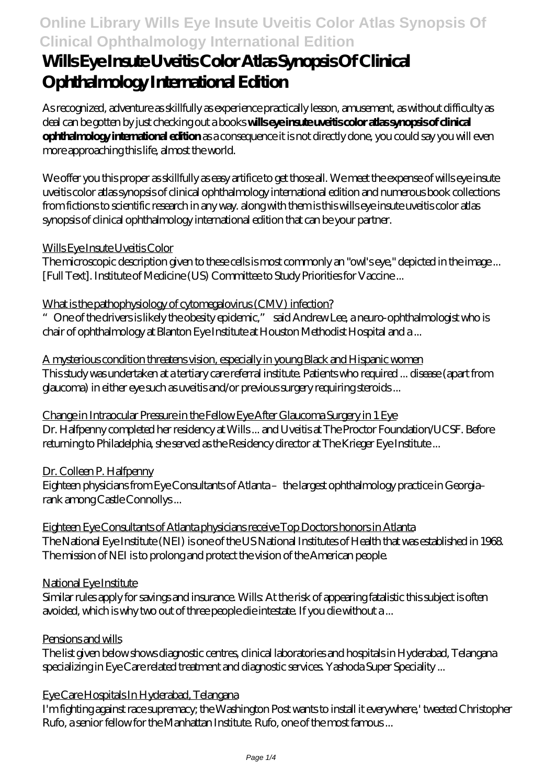# **Wills Eye Insute Uveitis Color Atlas Synopsis Of Clinical Ophthalmology International Edition**

As recognized, adventure as skillfully as experience practically lesson, amusement, as without difficulty as deal can be gotten by just checking out a books **wills eye insute uveitis color atlas synopsis of clinical ophthalmology international edition** as a consequence it is not directly done, you could say you will even more approaching this life, almost the world.

We offer you this proper as skillfully as easy artifice to get those all. We meet the expense of wills eye insute uveitis color atlas synopsis of clinical ophthalmology international edition and numerous book collections from fictions to scientific research in any way. along with them is this wills eye insute uveitis color atlas synopsis of clinical ophthalmology international edition that can be your partner.

### Wills Eye Insute Uveitis Color

The microscopic description given to these cells is most commonly an "owl's eye," depicted in the image ... [Full Text]. Institute of Medicine (US) Committee to Study Priorities for Vaccine ...

### What is the pathophysiology of cytomegalovirus (CMV) infection?

"One of the drivers is likely the obesity epidemic," said Andrew Lee, a neuro-ophthalmologist who is chair of ophthalmology at Blanton Eye Institute at Houston Methodist Hospital and a ...

A mysterious condition threatens vision, especially in young Black and Hispanic women This study was undertaken at a tertiary care referral institute. Patients who required ... disease (apart from glaucoma) in either eye such as uveitis and/or previous surgery requiring steroids ...

Change in Intraocular Pressure in the Fellow Eye After Glaucoma Surgery in 1 Eye Dr. Halfpenny completed her residency at Wills ... and Uveitis at The Proctor Foundation/UCSF. Before returning to Philadelphia, she served as the Residency director at The Krieger Eye Institute ...

#### Dr. Colleen P. Halfpenny

Eighteen physicians from Eye Consultants of Atlanta – the largest ophthalmology practice in Georgia– rank among Castle Connollys ...

Eighteen Eye Consultants of Atlanta physicians receive Top Doctors honors in Atlanta The National Eye Institute (NEI) is one of the US National Institutes of Health that was established in 1968. The mission of NEI is to prolong and protect the vision of the American people.

#### National Eye Institute

Similar rules apply for savings and insurance. Wills: At the risk of appearing fatalistic this subject is often avoided, which is why two out of three people die intestate. If you die without a ...

#### Pensions and wills

The list given below shows diagnostic centres, clinical laboratories and hospitals in Hyderabad, Telangana specializing in Eye Care related treatment and diagnostic services. Yashoda Super Speciality ...

#### Eye Care Hospitals In Hyderabad, Telangana

I'm fighting against race supremacy; the Washington Post wants to install it everywhere,' tweeted Christopher Rufo, a senior fellow for the Manhattan Institute. Rufo, one of the most famous ...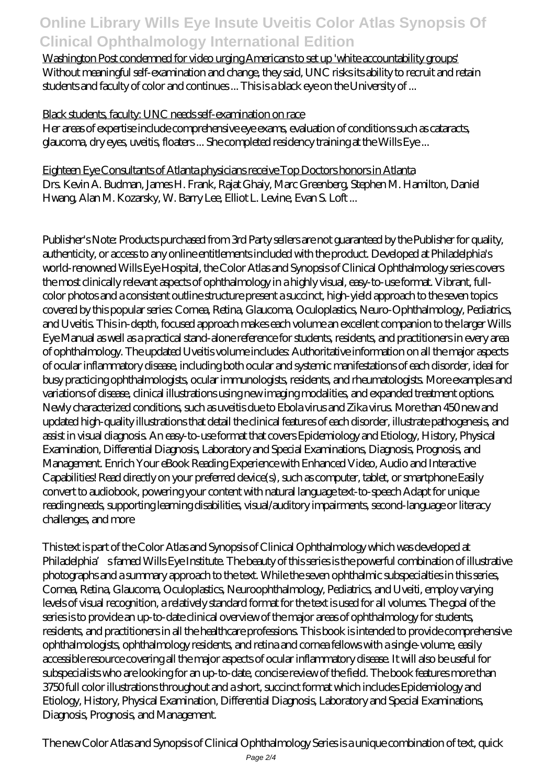Washington Post condemned for video urging Americans to set up 'white accountability groups' Without meaningful self-examination and change, they said, UNC risks its ability to recruit and retain students and faculty of color and continues ... This is a black eye on the University of ...

### Black students, faculty: UNC needs self-examination on race

Her areas of expertise include comprehensive eye exams, evaluation of conditions such as cataracts, glaucoma, dry eyes, uveitis, floaters ... She completed residency training at the Wills Eye ...

Eighteen Eye Consultants of Atlanta physicians receive Top Doctors honors in Atlanta Drs. Kevin A. Budman, James H. Frank, Rajat Ghaiy, Marc Greenberg, Stephen M. Hamilton, Daniel Hwang, Alan M. Kozarsky, W. Barry Lee, Elliot L. Levine, Evan S. Loft ...

Publisher's Note: Products purchased from 3rd Party sellers are not guaranteed by the Publisher for quality, authenticity, or access to any online entitlements included with the product. Developed at Philadelphia's world-renowned Wills Eye Hospital, the Color Atlas and Synopsis of Clinical Ophthalmology series covers the most clinically relevant aspects of ophthalmology in a highly visual, easy-to-use format. Vibrant, fullcolor photos and a consistent outline structure present a succinct, high-yield approach to the seven topics covered by this popular series: Cornea, Retina, Glaucoma, Oculoplastics, Neuro-Ophthalmology, Pediatrics, and Uveitis. This in-depth, focused approach makes each volume an excellent companion to the larger Wills Eye Manual as well as a practical stand-alone reference for students, residents, and practitioners in every area of ophthalmology. The updated Uveitis volume includes: Authoritative information on all the major aspects of ocular inflammatory disease, including both ocular and systemic manifestations of each disorder, ideal for busy practicing ophthalmologists, ocular immunologists, residents, and rheumatologists. More examples and variations of disease, clinical illustrations using new imaging modalities, and expanded treatment options. Newly characterized conditions, such as uveitis due to Ebola virus and Zika virus. More than 450 new and updated high-quality illustrations that detail the clinical features of each disorder, illustrate pathogenesis, and assist in visual diagnosis. An easy-to-use format that covers Epidemiology and Etiology, History, Physical Examination, Differential Diagnosis, Laboratory and Special Examinations, Diagnosis, Prognosis, and Management. Enrich Your eBook Reading Experience with Enhanced Video, Audio and Interactive Capabilities! Read directly on your preferred device(s), such as computer, tablet, or smartphone Easily convert to audiobook, powering your content with natural language text-to-speech Adapt for unique reading needs, supporting learning disabilities, visual/auditory impairments, second-language or literacy challenges, and more

This text is part of the Color Atlas and Synopsis of Clinical Ophthalmology which was developed at Philadelphia's famed Wills Eye Institute. The beauty of this series is the powerful combination of illustrative photographs and a summary approach to the text. While the seven ophthalmic subspecialties in this series, Cornea, Retina, Glaucoma, Oculoplastics, Neuroophthalmology, Pediatrics, and Uveiti, employ varying levels of visual recognition, a relatively standard format for the text is used for all volumes. The goal of the series is to provide an up-to-date clinical overview of the major areas of ophthalmology for students, residents, and practitioners in all the healthcare professions. This book is intended to provide comprehensive ophthalmologists, ophthalmology residents, and retina and cornea fellows with a single-volume, easily accessible resource covering all the major aspects of ocular inflammatory disease. It will also be useful for subspecialists who are looking for an up-to-date, concise review of the field. The book features more than 3750 full color illustrations throughout and a short, succinct format which includes Epidemiology and Etiology, History, Physical Examination, Differential Diagnosis, Laboratory and Special Examinations, Diagnosis, Prognosis, and Management.

The new Color Atlas and Synopsis of Clinical Ophthalmology Series is a unique combination of text, quick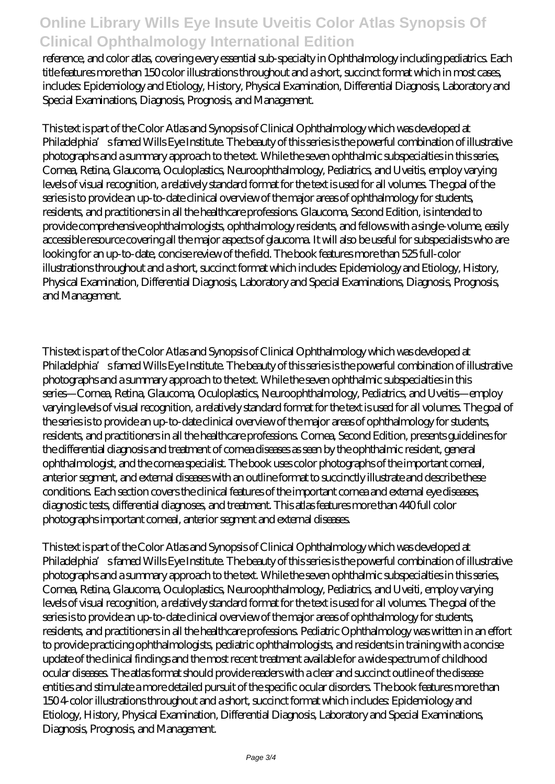reference, and color atlas, covering every essential sub-specialty in Ophthalmology including pediatrics. Each title features more than 150 color illustrations throughout and a short, succinct format which in most cases, includes: Epidemiology and Etiology, History, Physical Examination, Differential Diagnosis, Laboratory and Special Examinations, Diagnosis, Prognosis, and Management.

This text is part of the Color Atlas and Synopsis of Clinical Ophthalmology which was developed at Philadelphia's famed Wills Eye Institute. The beauty of this series is the powerful combination of illustrative photographs and a summary approach to the text. While the seven ophthalmic subspecialties in this series, Cornea, Retina, Glaucoma, Oculoplastics, Neuroophthalmology, Pediatrics, and Uveitis, employ varying levels of visual recognition, a relatively standard format for the text is used for all volumes. The goal of the series is to provide an up-to-date clinical overview of the major areas of ophthalmology for students, residents, and practitioners in all the healthcare professions. Glaucoma, Second Edition, is intended to provide comprehensive ophthalmologists, ophthalmology residents, and fellows with a single-volume, easily accessible resource covering all the major aspects of glaucoma. It will also be useful for subspecialists who are looking for an up-to-date, concise review of the field. The book features more than 525 full-color illustrations throughout and a short, succinct format which includes: Epidemiology and Etiology, History, Physical Examination, Differential Diagnosis, Laboratory and Special Examinations, Diagnosis, Prognosis, and Management.

This text is part of the Color Atlas and Synopsis of Clinical Ophthalmology which was developed at Philadelphia's famed Wills Eye Institute. The beauty of this series is the powerful combination of illustrative photographs and a summary approach to the text. While the seven ophthalmic subspecialties in this series—Cornea, Retina, Glaucoma, Oculoplastics, Neuroophthalmology, Pediatrics, and Uveitis—employ varying levels of visual recognition, a relatively standard format for the text is used for all volumes. The goal of the series is to provide an up-to-date clinical overview of the major areas of ophthalmology for students, residents, and practitioners in all the healthcare professions. Cornea, Second Edition, presents guidelines for the differential diagnosis and treatment of cornea diseases as seen by the ophthalmic resident, general ophthalmologist, and the cornea specialist. The book uses color photographs of the important corneal, anterior segment, and external diseases with an outline format to succinctly illustrate and describe these conditions. Each section covers the clinical features of the important cornea and external eye diseases, diagnostic tests, differential diagnoses, and treatment. This atlas features more than 440 full color photographs important corneal, anterior segment and external diseases.

This text is part of the Color Atlas and Synopsis of Clinical Ophthalmology which was developed at Philadelphia's famed Wills Eye Institute. The beauty of this series is the powerful combination of illustrative photographs and a summary approach to the text. While the seven ophthalmic subspecialties in this series, Cornea, Retina, Glaucoma, Oculoplastics, Neuroophthalmology, Pediatrics, and Uveiti, employ varying levels of visual recognition, a relatively standard format for the text is used for all volumes. The goal of the series is to provide an up-to-date clinical overview of the major areas of ophthalmology for students, residents, and practitioners in all the healthcare professions. Pediatric Ophthalmology was written in an effort to provide practicing ophthalmologists, pediatric ophthalmologists, and residents in training with a concise update of the clinical findings and the most recent treatment available for a wide spectrum of childhood ocular diseases. The atlas format should provide readers with a clear and succinct outline of the disease entities and stimulate a more detailed pursuit of the specific ocular disorders. The book features more than 150 4-color illustrations throughout and a short, succinct format which includes: Epidemiology and Etiology, History, Physical Examination, Differential Diagnosis, Laboratory and Special Examinations, Diagnosis, Prognosis, and Management.